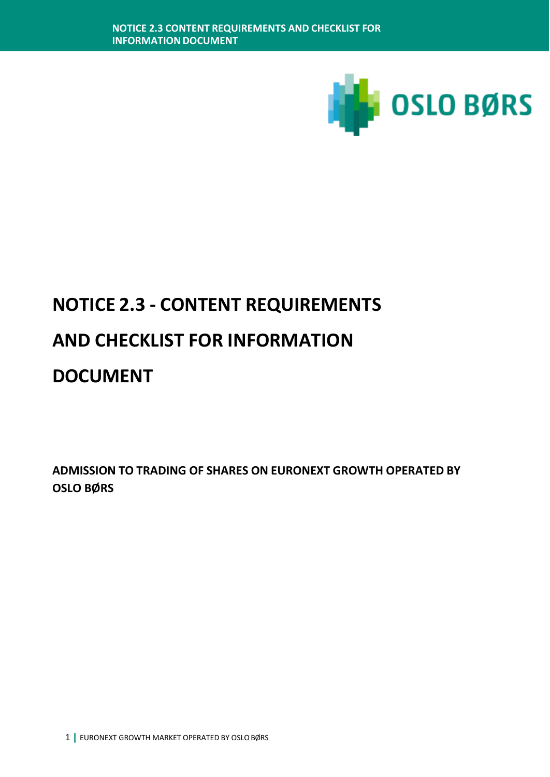

**ADMISSION TO TRADING OF SHARES ON EURONEXT GROWTH OPERATED BY OSLO BØRS**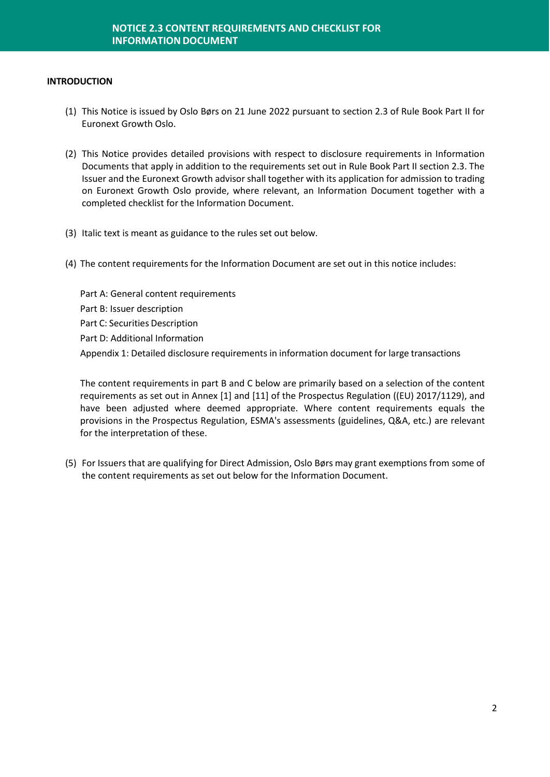#### **INTRODUCTION**

- (1) This Notice is issued by Oslo Børs on 21 June 2022 pursuant to section 2.3 of Rule Book Part II for Euronext Growth Oslo.
- (2) This Notice provides detailed provisions with respect to disclosure requirements in Information Documents that apply in addition to the requirements set out in Rule Book Part II section 2.3. The Issuer and the Euronext Growth advisor shall together with its application for admission to trading on Euronext Growth Oslo provide, where relevant, an Information Document together with a completed checklist for the Information Document.
- (3) Italic text is meant as guidance to the rules set out below.
- (4) The content requirements for the Information Document are set out in this notice includes:

Part A: General content requirements Part B: Issuer description Part C: Securities Description Part D: Additional Information Appendix 1: Detailed disclosure requirements in information document for large transactions

The content requirements in part B and C below are primarily based on a selection of the content requirements as set out in Annex [1] and [11] of the Prospectus Regulation ((EU) 2017/1129), and have been adjusted where deemed appropriate. Where content requirements equals the provisions in the Prospectus Regulation, ESMA's assessments (guidelines, Q&A, etc.) are relevant for the interpretation of these.

(5) For Issuers that are qualifying for Direct Admission, Oslo Børs may grant exemptions from some of the content requirements as set out below for the Information Document.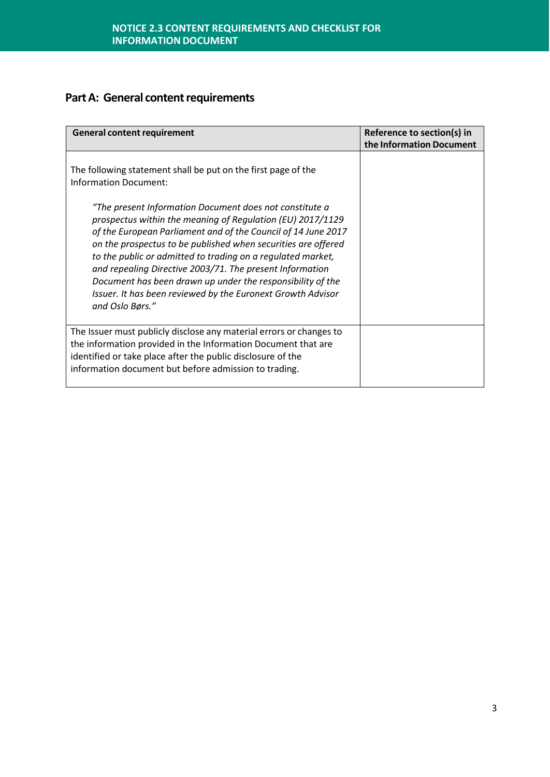## **Part A: General content requirements**

| <b>General content requirement</b>                                                                                                                                                                                                                                                                                                                                                                                                                                                                                                 | Reference to section(s) in<br>the Information Document |
|------------------------------------------------------------------------------------------------------------------------------------------------------------------------------------------------------------------------------------------------------------------------------------------------------------------------------------------------------------------------------------------------------------------------------------------------------------------------------------------------------------------------------------|--------------------------------------------------------|
| The following statement shall be put on the first page of the<br><b>Information Document:</b>                                                                                                                                                                                                                                                                                                                                                                                                                                      |                                                        |
| "The present Information Document does not constitute a<br>prospectus within the meaning of Regulation (EU) 2017/1129<br>of the European Parliament and of the Council of 14 June 2017<br>on the prospectus to be published when securities are offered<br>to the public or admitted to trading on a regulated market,<br>and repealing Directive 2003/71. The present Information<br>Document has been drawn up under the responsibility of the<br>Issuer. It has been reviewed by the Euronext Growth Advisor<br>and Oslo Børs." |                                                        |
| The Issuer must publicly disclose any material errors or changes to<br>the information provided in the Information Document that are<br>identified or take place after the public disclosure of the<br>information document but before admission to trading.                                                                                                                                                                                                                                                                       |                                                        |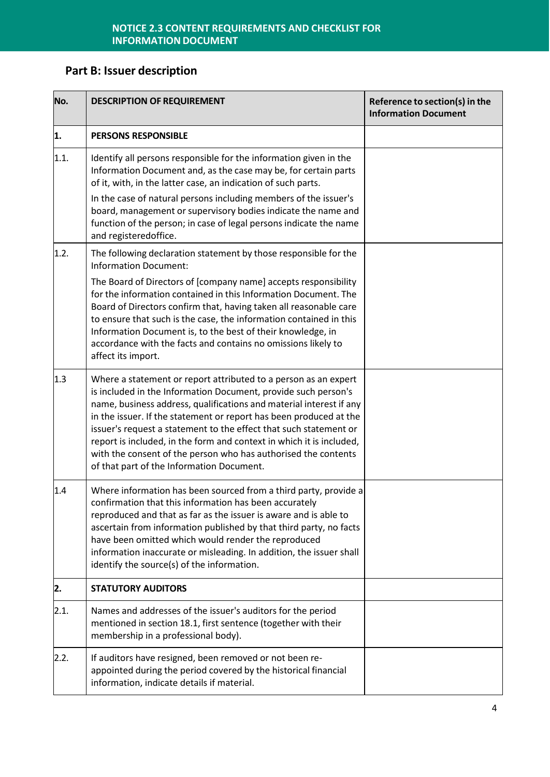# **Part B: Issuer description**

| No.  | <b>DESCRIPTION OF REQUIREMENT</b>                                                                                                                                                                                                                                                                                                                                                                                                                                                                                                          | Reference to section(s) in the<br><b>Information Document</b> |
|------|--------------------------------------------------------------------------------------------------------------------------------------------------------------------------------------------------------------------------------------------------------------------------------------------------------------------------------------------------------------------------------------------------------------------------------------------------------------------------------------------------------------------------------------------|---------------------------------------------------------------|
| 1.   | <b>PERSONS RESPONSIBLE</b>                                                                                                                                                                                                                                                                                                                                                                                                                                                                                                                 |                                                               |
| 1.1. | Identify all persons responsible for the information given in the<br>Information Document and, as the case may be, for certain parts<br>of it, with, in the latter case, an indication of such parts.                                                                                                                                                                                                                                                                                                                                      |                                                               |
|      | In the case of natural persons including members of the issuer's<br>board, management or supervisory bodies indicate the name and<br>function of the person; in case of legal persons indicate the name<br>and registeredoffice.                                                                                                                                                                                                                                                                                                           |                                                               |
| 1.2. | The following declaration statement by those responsible for the<br><b>Information Document:</b>                                                                                                                                                                                                                                                                                                                                                                                                                                           |                                                               |
|      | The Board of Directors of [company name] accepts responsibility<br>for the information contained in this Information Document. The<br>Board of Directors confirm that, having taken all reasonable care<br>to ensure that such is the case, the information contained in this<br>Information Document is, to the best of their knowledge, in<br>accordance with the facts and contains no omissions likely to<br>affect its import.                                                                                                        |                                                               |
| 1.3  | Where a statement or report attributed to a person as an expert<br>is included in the Information Document, provide such person's<br>name, business address, qualifications and material interest if any<br>in the issuer. If the statement or report has been produced at the<br>issuer's request a statement to the effect that such statement or<br>report is included, in the form and context in which it is included,<br>with the consent of the person who has authorised the contents<br>of that part of the Information Document. |                                                               |
| 1.4  | Where information has been sourced from a third party, provide a<br>confirmation that this information has been accurately<br>reproduced and that as far as the issuer is aware and is able to<br>ascertain from information published by that third party, no facts<br>have been omitted which would render the reproduced<br>information inaccurate or misleading. In addition, the issuer shall<br>identify the source(s) of the information.                                                                                           |                                                               |
| 2.   | <b>STATUTORY AUDITORS</b>                                                                                                                                                                                                                                                                                                                                                                                                                                                                                                                  |                                                               |
| 2.1. | Names and addresses of the issuer's auditors for the period<br>mentioned in section 18.1, first sentence (together with their<br>membership in a professional body).                                                                                                                                                                                                                                                                                                                                                                       |                                                               |
| 2.2. | If auditors have resigned, been removed or not been re-<br>appointed during the period covered by the historical financial<br>information, indicate details if material.                                                                                                                                                                                                                                                                                                                                                                   |                                                               |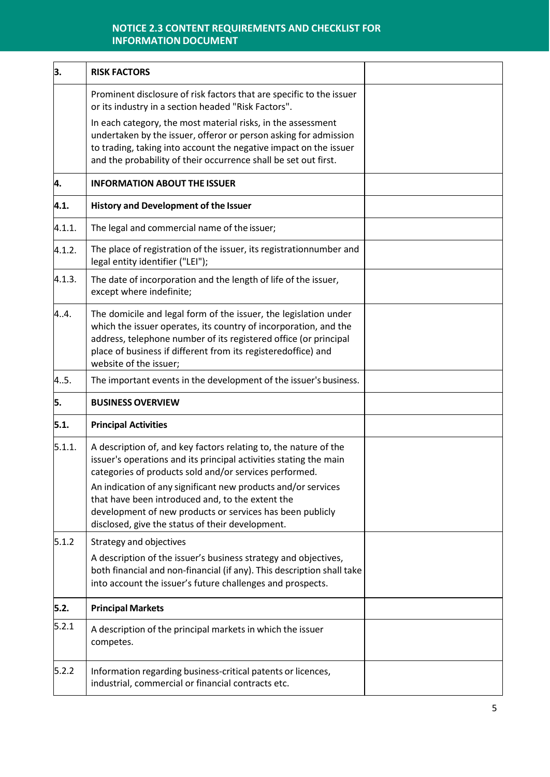| 3.     | <b>RISK FACTORS</b>                                                                                                                                                                                                                                                                                 |  |
|--------|-----------------------------------------------------------------------------------------------------------------------------------------------------------------------------------------------------------------------------------------------------------------------------------------------------|--|
|        | Prominent disclosure of risk factors that are specific to the issuer<br>or its industry in a section headed "Risk Factors".                                                                                                                                                                         |  |
|        | In each category, the most material risks, in the assessment<br>undertaken by the issuer, offeror or person asking for admission<br>to trading, taking into account the negative impact on the issuer<br>and the probability of their occurrence shall be set out first.                            |  |
| 4.     | <b>INFORMATION ABOUT THE ISSUER</b>                                                                                                                                                                                                                                                                 |  |
| 4.1.   | <b>History and Development of the Issuer</b>                                                                                                                                                                                                                                                        |  |
| 4.1.1. | The legal and commercial name of the issuer;                                                                                                                                                                                                                                                        |  |
| 4.1.2. | The place of registration of the issuer, its registrationnumber and<br>legal entity identifier ("LEI");                                                                                                                                                                                             |  |
| 4.1.3. | The date of incorporation and the length of life of the issuer,<br>except where indefinite;                                                                                                                                                                                                         |  |
| 4.4.   | The domicile and legal form of the issuer, the legislation under<br>which the issuer operates, its country of incorporation, and the<br>address, telephone number of its registered office (or principal<br>place of business if different from its registeredoffice) and<br>website of the issuer; |  |
| 4.5.   | The important events in the development of the issuer's business.                                                                                                                                                                                                                                   |  |
| 5.     | <b>BUSINESS OVERVIEW</b>                                                                                                                                                                                                                                                                            |  |
| 5.1.   | <b>Principal Activities</b>                                                                                                                                                                                                                                                                         |  |
| 5.1.1. | A description of, and key factors relating to, the nature of the<br>issuer's operations and its principal activities stating the main<br>categories of products sold and/or services performed.                                                                                                     |  |
|        | An indication of any significant new products and/or services<br>that have been introduced and, to the extent the<br>development of new products or services has been publicly<br>disclosed, give the status of their development.                                                                  |  |
| 5.1.2  | Strategy and objectives                                                                                                                                                                                                                                                                             |  |
|        | A description of the issuer's business strategy and objectives,<br>both financial and non-financial (if any). This description shall take<br>into account the issuer's future challenges and prospects.                                                                                             |  |
| 5.2.   | <b>Principal Markets</b>                                                                                                                                                                                                                                                                            |  |
| 5.2.1  | A description of the principal markets in which the issuer<br>competes.                                                                                                                                                                                                                             |  |
| 5.2.2  | Information regarding business-critical patents or licences,<br>industrial, commercial or financial contracts etc.                                                                                                                                                                                  |  |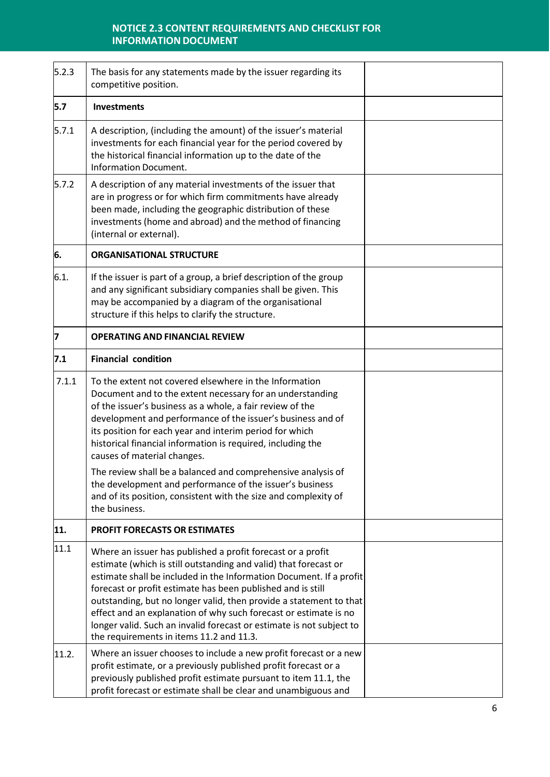| 5.2.3 | The basis for any statements made by the issuer regarding its<br>competitive position.                                                                                                                                                                                                                                                                                                                                                                                                                                              |  |
|-------|-------------------------------------------------------------------------------------------------------------------------------------------------------------------------------------------------------------------------------------------------------------------------------------------------------------------------------------------------------------------------------------------------------------------------------------------------------------------------------------------------------------------------------------|--|
| 5.7   | <b>Investments</b>                                                                                                                                                                                                                                                                                                                                                                                                                                                                                                                  |  |
| 5.7.1 | A description, (including the amount) of the issuer's material<br>investments for each financial year for the period covered by<br>the historical financial information up to the date of the<br><b>Information Document.</b>                                                                                                                                                                                                                                                                                                       |  |
| 5.7.2 | A description of any material investments of the issuer that<br>are in progress or for which firm commitments have already<br>been made, including the geographic distribution of these<br>investments (home and abroad) and the method of financing<br>(internal or external).                                                                                                                                                                                                                                                     |  |
| 6.    | <b>ORGANISATIONAL STRUCTURE</b>                                                                                                                                                                                                                                                                                                                                                                                                                                                                                                     |  |
| 6.1.  | If the issuer is part of a group, a brief description of the group<br>and any significant subsidiary companies shall be given. This<br>may be accompanied by a diagram of the organisational<br>structure if this helps to clarify the structure.                                                                                                                                                                                                                                                                                   |  |
| 7     | <b>OPERATING AND FINANCIAL REVIEW</b>                                                                                                                                                                                                                                                                                                                                                                                                                                                                                               |  |
| 7.1   | <b>Financial condition</b>                                                                                                                                                                                                                                                                                                                                                                                                                                                                                                          |  |
| 7.1.1 | To the extent not covered elsewhere in the Information<br>Document and to the extent necessary for an understanding<br>of the issuer's business as a whole, a fair review of the<br>development and performance of the issuer's business and of<br>its position for each year and interim period for which<br>historical financial information is required, including the<br>causes of material changes.                                                                                                                            |  |
|       | The review shall be a balanced and comprehensive analysis of<br>the development and performance of the issuer's business<br>and of its position, consistent with the size and complexity of<br>the business.                                                                                                                                                                                                                                                                                                                        |  |
| 11.   | <b>PROFIT FORECASTS OR ESTIMATES</b>                                                                                                                                                                                                                                                                                                                                                                                                                                                                                                |  |
| 11.1  | Where an issuer has published a profit forecast or a profit<br>estimate (which is still outstanding and valid) that forecast or<br>estimate shall be included in the Information Document. If a profit<br>forecast or profit estimate has been published and is still<br>outstanding, but no longer valid, then provide a statement to that<br>effect and an explanation of why such forecast or estimate is no<br>longer valid. Such an invalid forecast or estimate is not subject to<br>the requirements in items 11.2 and 11.3. |  |
| 11.2. | Where an issuer chooses to include a new profit forecast or a new<br>profit estimate, or a previously published profit forecast or a<br>previously published profit estimate pursuant to item 11.1, the<br>profit forecast or estimate shall be clear and unambiguous and                                                                                                                                                                                                                                                           |  |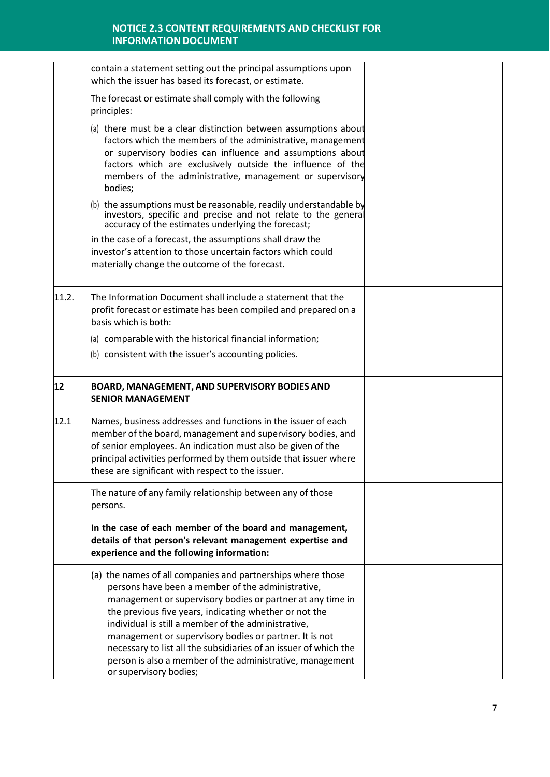|       | contain a statement setting out the principal assumptions upon<br>which the issuer has based its forecast, or estimate.                                                                                                                                                                                                                                                                                                                                                                                              |  |
|-------|----------------------------------------------------------------------------------------------------------------------------------------------------------------------------------------------------------------------------------------------------------------------------------------------------------------------------------------------------------------------------------------------------------------------------------------------------------------------------------------------------------------------|--|
|       | The forecast or estimate shall comply with the following<br>principles:                                                                                                                                                                                                                                                                                                                                                                                                                                              |  |
|       | (a) there must be a clear distinction between assumptions about<br>factors which the members of the administrative, management<br>or supervisory bodies can influence and assumptions about<br>factors which are exclusively outside the influence of the<br>members of the administrative, management or supervisory<br>bodies;                                                                                                                                                                                     |  |
|       | (b) the assumptions must be reasonable, readily understandable by<br>investors, specific and precise and not relate to the general<br>accuracy of the estimates underlying the forecast;                                                                                                                                                                                                                                                                                                                             |  |
|       | in the case of a forecast, the assumptions shall draw the<br>investor's attention to those uncertain factors which could<br>materially change the outcome of the forecast.                                                                                                                                                                                                                                                                                                                                           |  |
| 11.2. | The Information Document shall include a statement that the<br>profit forecast or estimate has been compiled and prepared on a<br>basis which is both:                                                                                                                                                                                                                                                                                                                                                               |  |
|       | (a) comparable with the historical financial information;                                                                                                                                                                                                                                                                                                                                                                                                                                                            |  |
|       | (b) consistent with the issuer's accounting policies.                                                                                                                                                                                                                                                                                                                                                                                                                                                                |  |
| 12    | <b>BOARD, MANAGEMENT, AND SUPERVISORY BODIES AND</b><br><b>SENIOR MANAGEMENT</b>                                                                                                                                                                                                                                                                                                                                                                                                                                     |  |
| 12.1  | Names, business addresses and functions in the issuer of each<br>member of the board, management and supervisory bodies, and<br>of senior employees. An indication must also be given of the<br>principal activities performed by them outside that issuer where<br>these are significant with respect to the issuer.                                                                                                                                                                                                |  |
|       | The nature of any family relationship between any of those<br>persons.                                                                                                                                                                                                                                                                                                                                                                                                                                               |  |
|       | In the case of each member of the board and management,<br>details of that person's relevant management expertise and<br>experience and the following information:                                                                                                                                                                                                                                                                                                                                                   |  |
|       | (a) the names of all companies and partnerships where those<br>persons have been a member of the administrative,<br>management or supervisory bodies or partner at any time in<br>the previous five years, indicating whether or not the<br>individual is still a member of the administrative,<br>management or supervisory bodies or partner. It is not<br>necessary to list all the subsidiaries of an issuer of which the<br>person is also a member of the administrative, management<br>or supervisory bodies; |  |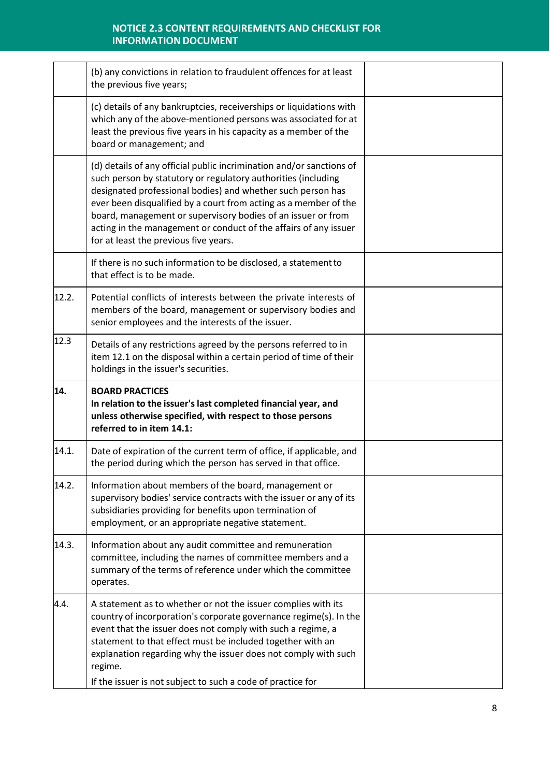|       | (b) any convictions in relation to fraudulent offences for at least<br>the previous five years;                                                                                                                                                                                                                                                                                                                                                       |  |
|-------|-------------------------------------------------------------------------------------------------------------------------------------------------------------------------------------------------------------------------------------------------------------------------------------------------------------------------------------------------------------------------------------------------------------------------------------------------------|--|
|       | (c) details of any bankruptcies, receiverships or liquidations with<br>which any of the above-mentioned persons was associated for at<br>least the previous five years in his capacity as a member of the<br>board or management; and                                                                                                                                                                                                                 |  |
|       | (d) details of any official public incrimination and/or sanctions of<br>such person by statutory or regulatory authorities (including<br>designated professional bodies) and whether such person has<br>ever been disqualified by a court from acting as a member of the<br>board, management or supervisory bodies of an issuer or from<br>acting in the management or conduct of the affairs of any issuer<br>for at least the previous five years. |  |
|       | If there is no such information to be disclosed, a statement to<br>that effect is to be made.                                                                                                                                                                                                                                                                                                                                                         |  |
| 12.2. | Potential conflicts of interests between the private interests of<br>members of the board, management or supervisory bodies and<br>senior employees and the interests of the issuer.                                                                                                                                                                                                                                                                  |  |
| 12.3  | Details of any restrictions agreed by the persons referred to in<br>item 12.1 on the disposal within a certain period of time of their<br>holdings in the issuer's securities.                                                                                                                                                                                                                                                                        |  |
| 14.   | <b>BOARD PRACTICES</b><br>In relation to the issuer's last completed financial year, and<br>unless otherwise specified, with respect to those persons<br>referred to in item 14.1:                                                                                                                                                                                                                                                                    |  |
| 14.1. | Date of expiration of the current term of office, if applicable, and<br>the period during which the person has served in that office.                                                                                                                                                                                                                                                                                                                 |  |
| 14.2. | Information about members of the board, management or<br>supervisory bodies' service contracts with the issuer or any of its<br>subsidiaries providing for benefits upon termination of<br>employment, or an appropriate negative statement.                                                                                                                                                                                                          |  |
| 14.3. | Information about any audit committee and remuneration<br>committee, including the names of committee members and a<br>summary of the terms of reference under which the committee<br>operates.                                                                                                                                                                                                                                                       |  |
| 4.4.  | A statement as to whether or not the issuer complies with its<br>country of incorporation's corporate governance regime(s). In the<br>event that the issuer does not comply with such a regime, a<br>statement to that effect must be included together with an<br>explanation regarding why the issuer does not comply with such<br>regime.<br>If the issuer is not subject to such a code of practice for                                           |  |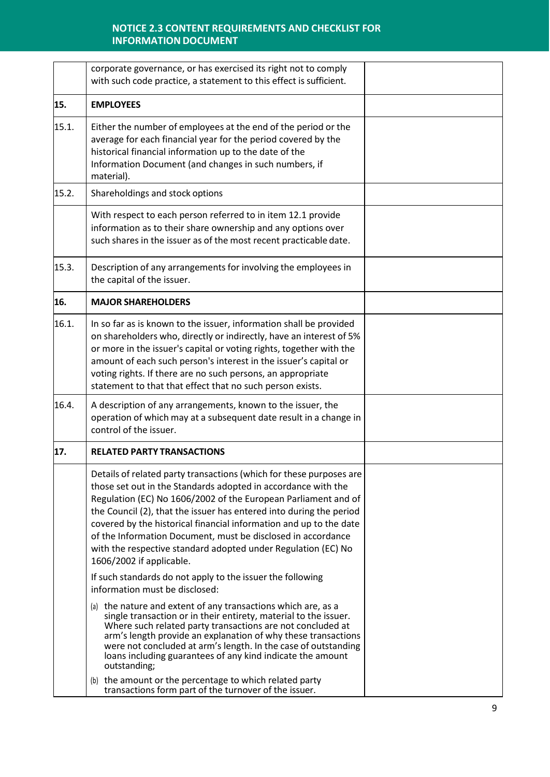|       | corporate governance, or has exercised its right not to comply<br>with such code practice, a statement to this effect is sufficient.                                                                                                                                                                                                                                                                                                                                                                             |  |
|-------|------------------------------------------------------------------------------------------------------------------------------------------------------------------------------------------------------------------------------------------------------------------------------------------------------------------------------------------------------------------------------------------------------------------------------------------------------------------------------------------------------------------|--|
| 15.   | <b>EMPLOYEES</b>                                                                                                                                                                                                                                                                                                                                                                                                                                                                                                 |  |
| 15.1. | Either the number of employees at the end of the period or the<br>average for each financial year for the period covered by the<br>historical financial information up to the date of the<br>Information Document (and changes in such numbers, if<br>material).                                                                                                                                                                                                                                                 |  |
| 15.2. | Shareholdings and stock options                                                                                                                                                                                                                                                                                                                                                                                                                                                                                  |  |
|       | With respect to each person referred to in item 12.1 provide<br>information as to their share ownership and any options over<br>such shares in the issuer as of the most recent practicable date.                                                                                                                                                                                                                                                                                                                |  |
| 15.3. | Description of any arrangements for involving the employees in<br>the capital of the issuer.                                                                                                                                                                                                                                                                                                                                                                                                                     |  |
| 16.   | <b>MAJOR SHAREHOLDERS</b>                                                                                                                                                                                                                                                                                                                                                                                                                                                                                        |  |
| 16.1. | In so far as is known to the issuer, information shall be provided<br>on shareholders who, directly or indirectly, have an interest of 5%<br>or more in the issuer's capital or voting rights, together with the<br>amount of each such person's interest in the issuer's capital or<br>voting rights. If there are no such persons, an appropriate<br>statement to that that effect that no such person exists.                                                                                                 |  |
| 16.4. | A description of any arrangements, known to the issuer, the<br>operation of which may at a subsequent date result in a change in<br>control of the issuer.                                                                                                                                                                                                                                                                                                                                                       |  |
| 17.   | <b>RELATED PARTY TRANSACTIONS</b>                                                                                                                                                                                                                                                                                                                                                                                                                                                                                |  |
|       | Details of related party transactions (which for these purposes are<br>those set out in the Standards adopted in accordance with the<br>Regulation (EC) No 1606/2002 of the European Parliament and of<br>the Council (2), that the issuer has entered into during the period<br>covered by the historical financial information and up to the date<br>of the Information Document, must be disclosed in accordance<br>with the respective standard adopted under Regulation (EC) No<br>1606/2002 if applicable. |  |
|       | If such standards do not apply to the issuer the following<br>information must be disclosed:                                                                                                                                                                                                                                                                                                                                                                                                                     |  |
|       | (a) the nature and extent of any transactions which are, as a<br>single transaction or in their entirety, material to the issuer.<br>Where such related party transactions are not concluded at<br>arm's length provide an explanation of why these transactions<br>were not concluded at arm's length. In the case of outstanding<br>loans including guarantees of any kind indicate the amount<br>outstanding;                                                                                                 |  |
|       | (b) the amount or the percentage to which related party<br>transactions form part of the turnover of the issuer.                                                                                                                                                                                                                                                                                                                                                                                                 |  |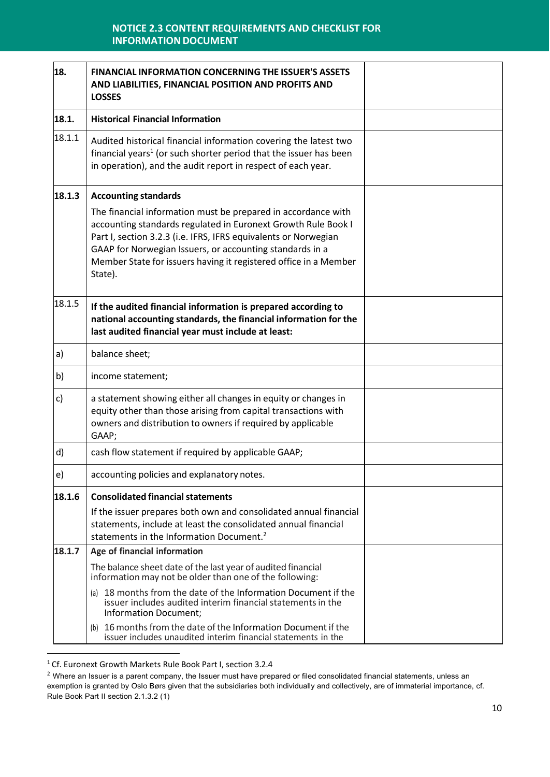| 18.    | FINANCIAL INFORMATION CONCERNING THE ISSUER'S ASSETS<br>AND LIABILITIES, FINANCIAL POSITION AND PROFITS AND<br><b>LOSSES</b>                                                                                                                                                                                                                 |  |
|--------|----------------------------------------------------------------------------------------------------------------------------------------------------------------------------------------------------------------------------------------------------------------------------------------------------------------------------------------------|--|
| 18.1.  | <b>Historical Financial Information</b>                                                                                                                                                                                                                                                                                                      |  |
| 18.1.1 | Audited historical financial information covering the latest two<br>financial years <sup>1</sup> (or such shorter period that the issuer has been<br>in operation), and the audit report in respect of each year.                                                                                                                            |  |
| 18.1.3 | <b>Accounting standards</b>                                                                                                                                                                                                                                                                                                                  |  |
|        | The financial information must be prepared in accordance with<br>accounting standards regulated in Euronext Growth Rule Book I<br>Part I, section 3.2.3 (i.e. IFRS, IFRS equivalents or Norwegian<br>GAAP for Norwegian Issuers, or accounting standards in a<br>Member State for issuers having it registered office in a Member<br>State). |  |
| 18.1.5 | If the audited financial information is prepared according to<br>national accounting standards, the financial information for the<br>last audited financial year must include at least:                                                                                                                                                      |  |
| a)     | balance sheet;                                                                                                                                                                                                                                                                                                                               |  |
| b)     | income statement;                                                                                                                                                                                                                                                                                                                            |  |
| c)     | a statement showing either all changes in equity or changes in<br>equity other than those arising from capital transactions with<br>owners and distribution to owners if required by applicable<br>GAAP;                                                                                                                                     |  |
| d)     | cash flow statement if required by applicable GAAP;                                                                                                                                                                                                                                                                                          |  |
| e)     | accounting policies and explanatory notes.                                                                                                                                                                                                                                                                                                   |  |
| 18.1.6 | <b>Consolidated financial statements</b>                                                                                                                                                                                                                                                                                                     |  |
|        | If the issuer prepares both own and consolidated annual financial<br>statements, include at least the consolidated annual financial<br>statements in the Information Document. <sup>2</sup>                                                                                                                                                  |  |
| 18.1.7 | Age of financial information                                                                                                                                                                                                                                                                                                                 |  |
|        | The balance sheet date of the last year of audited financial<br>information may not be older than one of the following:                                                                                                                                                                                                                      |  |
|        | 18 months from the date of the Information Document if the<br>(a)<br>issuer includes audited interim financial statements in the<br>Information Document;                                                                                                                                                                                    |  |
|        | 16 months from the date of the Information Document if the<br>(b)<br>issuer includes unaudited interim financial statements in the                                                                                                                                                                                                           |  |

<sup>1</sup> Cf. Euronext Growth Markets Rule Book Part I, section 3.2.4

 $2$  Where an Issuer is a parent company, the Issuer must have prepared or filed consolidated financial statements, unless an exemption is granted by Oslo Børs given that the subsidiaries both individually and collectively, are of immaterial importance, cf. Rule Book Part II section 2.1.3.2 (1)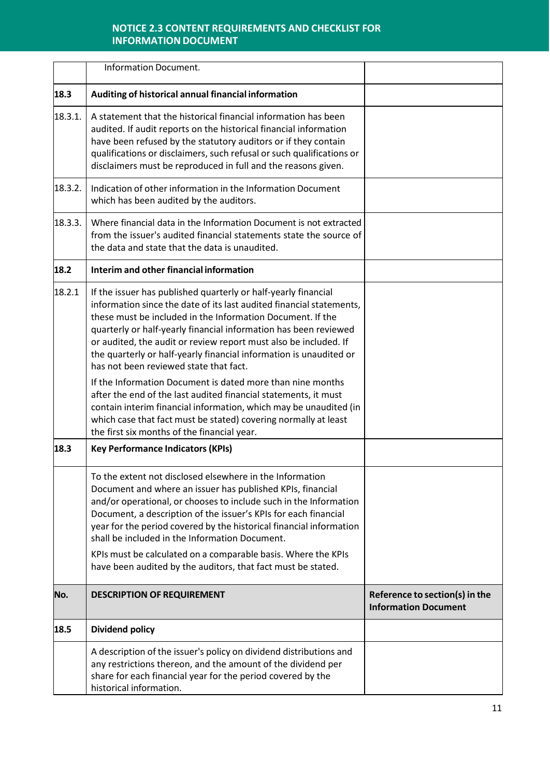|         | <b>Information Document.</b>                                                                                                                                                                                                                                                                                                                                                                                                                                                                                               |                                                               |
|---------|----------------------------------------------------------------------------------------------------------------------------------------------------------------------------------------------------------------------------------------------------------------------------------------------------------------------------------------------------------------------------------------------------------------------------------------------------------------------------------------------------------------------------|---------------------------------------------------------------|
| 18.3    | Auditing of historical annual financial information                                                                                                                                                                                                                                                                                                                                                                                                                                                                        |                                                               |
| 18.3.1. | A statement that the historical financial information has been<br>audited. If audit reports on the historical financial information<br>have been refused by the statutory auditors or if they contain<br>qualifications or disclaimers, such refusal or such qualifications or<br>disclaimers must be reproduced in full and the reasons given.                                                                                                                                                                            |                                                               |
| 18.3.2. | Indication of other information in the Information Document<br>which has been audited by the auditors.                                                                                                                                                                                                                                                                                                                                                                                                                     |                                                               |
| 18.3.3. | Where financial data in the Information Document is not extracted<br>from the issuer's audited financial statements state the source of<br>the data and state that the data is unaudited.                                                                                                                                                                                                                                                                                                                                  |                                                               |
| 18.2    | Interim and other financial information                                                                                                                                                                                                                                                                                                                                                                                                                                                                                    |                                                               |
| 18.2.1  | If the issuer has published quarterly or half-yearly financial<br>information since the date of its last audited financial statements,<br>these must be included in the Information Document. If the<br>quarterly or half-yearly financial information has been reviewed<br>or audited, the audit or review report must also be included. If<br>the quarterly or half-yearly financial information is unaudited or<br>has not been reviewed state that fact.<br>If the Information Document is dated more than nine months |                                                               |
|         | after the end of the last audited financial statements, it must<br>contain interim financial information, which may be unaudited (in<br>which case that fact must be stated) covering normally at least<br>the first six months of the financial year.                                                                                                                                                                                                                                                                     |                                                               |
| 18.3    | <b>Key Performance Indicators (KPIs)</b>                                                                                                                                                                                                                                                                                                                                                                                                                                                                                   |                                                               |
|         | To the extent not disclosed elsewhere in the Information<br>Document and where an issuer has published KPIs, financial<br>and/or operational, or chooses to include such in the Information<br>Document, a description of the issuer's KPIs for each financial<br>year for the period covered by the historical financial information<br>shall be included in the Information Document.<br>KPIs must be calculated on a comparable basis. Where the KPIs<br>have been audited by the auditors, that fact must be stated.   |                                                               |
| No.     | <b>DESCRIPTION OF REQUIREMENT</b>                                                                                                                                                                                                                                                                                                                                                                                                                                                                                          | Reference to section(s) in the<br><b>Information Document</b> |
| 18.5    | <b>Dividend policy</b>                                                                                                                                                                                                                                                                                                                                                                                                                                                                                                     |                                                               |
|         | A description of the issuer's policy on dividend distributions and<br>any restrictions thereon, and the amount of the dividend per<br>share for each financial year for the period covered by the<br>historical information.                                                                                                                                                                                                                                                                                               |                                                               |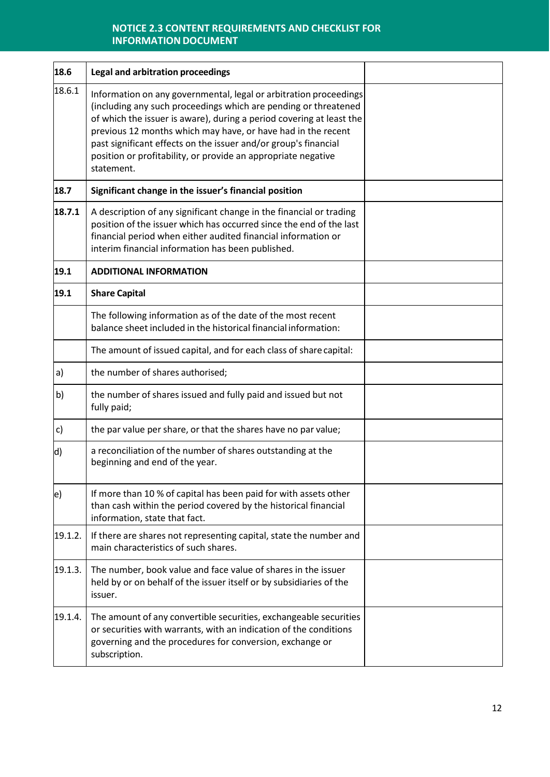| 18.6      | Legal and arbitration proceedings                                                                                                                                                                                                                                                                                                                                                                                              |  |
|-----------|--------------------------------------------------------------------------------------------------------------------------------------------------------------------------------------------------------------------------------------------------------------------------------------------------------------------------------------------------------------------------------------------------------------------------------|--|
| 18.6.1    | Information on any governmental, legal or arbitration proceedings<br>(including any such proceedings which are pending or threatened<br>of which the issuer is aware), during a period covering at least the<br>previous 12 months which may have, or have had in the recent<br>past significant effects on the issuer and/or group's financial<br>position or profitability, or provide an appropriate negative<br>statement. |  |
| 18.7      | Significant change in the issuer's financial position                                                                                                                                                                                                                                                                                                                                                                          |  |
| 18.7.1    | A description of any significant change in the financial or trading<br>position of the issuer which has occurred since the end of the last<br>financial period when either audited financial information or<br>interim financial information has been published.                                                                                                                                                               |  |
| 19.1      | <b>ADDITIONAL INFORMATION</b>                                                                                                                                                                                                                                                                                                                                                                                                  |  |
| 19.1      | <b>Share Capital</b>                                                                                                                                                                                                                                                                                                                                                                                                           |  |
|           | The following information as of the date of the most recent<br>balance sheet included in the historical financial information:                                                                                                                                                                                                                                                                                                 |  |
|           | The amount of issued capital, and for each class of share capital:                                                                                                                                                                                                                                                                                                                                                             |  |
| a)        | the number of shares authorised;                                                                                                                                                                                                                                                                                                                                                                                               |  |
| b)        | the number of shares issued and fully paid and issued but not<br>fully paid;                                                                                                                                                                                                                                                                                                                                                   |  |
| c)        | the par value per share, or that the shares have no par value;                                                                                                                                                                                                                                                                                                                                                                 |  |
| d)        | a reconciliation of the number of shares outstanding at the<br>beginning and end of the year.                                                                                                                                                                                                                                                                                                                                  |  |
| $\ket{e}$ | If more than 10 % of capital has been paid for with assets other<br>than cash within the period covered by the historical financial<br>information, state that fact.                                                                                                                                                                                                                                                           |  |
| 19.1.2.   | If there are shares not representing capital, state the number and<br>main characteristics of such shares.                                                                                                                                                                                                                                                                                                                     |  |
| 19.1.3.   | The number, book value and face value of shares in the issuer<br>held by or on behalf of the issuer itself or by subsidiaries of the<br>issuer.                                                                                                                                                                                                                                                                                |  |
| 19.1.4.   | The amount of any convertible securities, exchangeable securities<br>or securities with warrants, with an indication of the conditions<br>governing and the procedures for conversion, exchange or<br>subscription.                                                                                                                                                                                                            |  |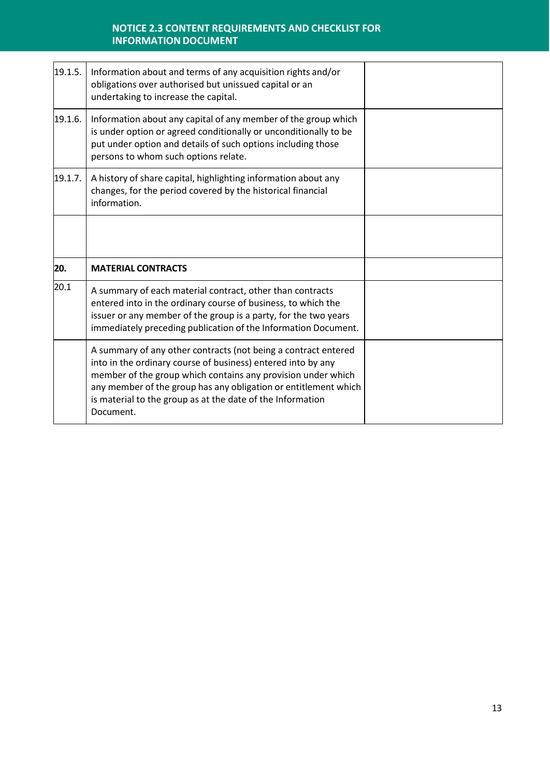| 19.1.5. | Information about and terms of any acquisition rights and/or<br>obligations over authorised but unissued capital or an<br>undertaking to increase the capital.                                                                                                  |  |
|---------|-----------------------------------------------------------------------------------------------------------------------------------------------------------------------------------------------------------------------------------------------------------------|--|
| 19.1.6. | Information about any capital of any member of the group which<br>is under option or agreed conditionally or unconditionally to be<br>put under option and details of such options including those<br>persons to whom such options relate.                      |  |
| 19.1.7. | A history of share capital, highlighting information about any<br>changes, for the period covered by the historical financial<br>information.                                                                                                                   |  |
|         |                                                                                                                                                                                                                                                                 |  |
| 20.     | <b>MATERIAL CONTRACTS</b>                                                                                                                                                                                                                                       |  |
| 20.1    | A summary of each material contract, other than contracts<br>entered into in the ordinary course of business, to which the<br>issuer or any member of the group is a party, for the two years<br>immediately preceding publication of the Information Document. |  |
|         |                                                                                                                                                                                                                                                                 |  |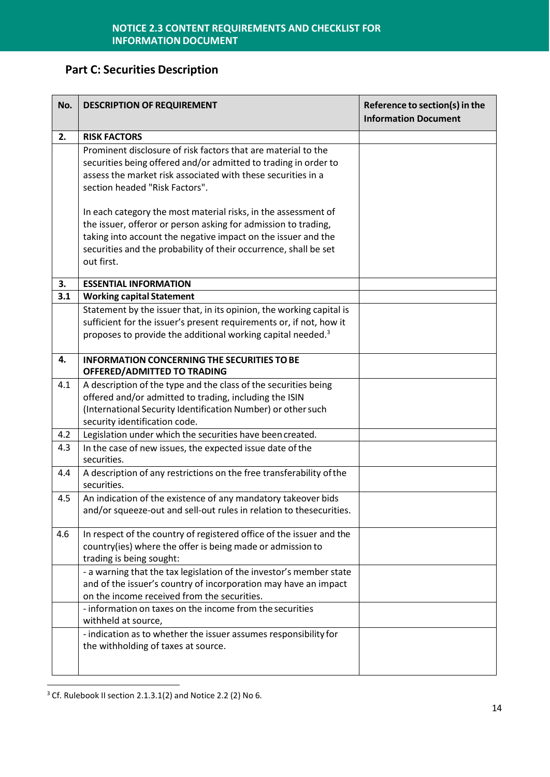# **Part C: Securities Description**

| No. | <b>DESCRIPTION OF REQUIREMENT</b>                                                                                                                                                                                                                                                   | Reference to section(s) in the<br><b>Information Document</b> |
|-----|-------------------------------------------------------------------------------------------------------------------------------------------------------------------------------------------------------------------------------------------------------------------------------------|---------------------------------------------------------------|
| 2.  | <b>RISK FACTORS</b>                                                                                                                                                                                                                                                                 |                                                               |
|     | Prominent disclosure of risk factors that are material to the<br>securities being offered and/or admitted to trading in order to<br>assess the market risk associated with these securities in a<br>section headed "Risk Factors".                                                  |                                                               |
|     | In each category the most material risks, in the assessment of<br>the issuer, offeror or person asking for admission to trading,<br>taking into account the negative impact on the issuer and the<br>securities and the probability of their occurrence, shall be set<br>out first. |                                                               |
| 3.  | <b>ESSENTIAL INFORMATION</b>                                                                                                                                                                                                                                                        |                                                               |
| 3.1 | <b>Working capital Statement</b><br>Statement by the issuer that, in its opinion, the working capital is<br>sufficient for the issuer's present requirements or, if not, how it<br>proposes to provide the additional working capital needed. <sup>3</sup>                          |                                                               |
| 4.  | <b>INFORMATION CONCERNING THE SECURITIES TO BE</b><br>OFFERED/ADMITTED TO TRADING                                                                                                                                                                                                   |                                                               |
| 4.1 | A description of the type and the class of the securities being<br>offered and/or admitted to trading, including the ISIN<br>(International Security Identification Number) or other such<br>security identification code.                                                          |                                                               |
| 4.2 | Legislation under which the securities have been created.                                                                                                                                                                                                                           |                                                               |
| 4.3 | In the case of new issues, the expected issue date of the<br>securities.                                                                                                                                                                                                            |                                                               |
| 4.4 | A description of any restrictions on the free transferability of the<br>securities.                                                                                                                                                                                                 |                                                               |
| 4.5 | An indication of the existence of any mandatory takeover bids<br>and/or squeeze-out and sell-out rules in relation to thesecurities.                                                                                                                                                |                                                               |
| 4.6 | In respect of the country of registered office of the issuer and the<br>country(ies) where the offer is being made or admission to<br>trading is being sought:                                                                                                                      |                                                               |
|     | - a warning that the tax legislation of the investor's member state<br>and of the issuer's country of incorporation may have an impact<br>on the income received from the securities.                                                                                               |                                                               |
|     | - information on taxes on the income from the securities<br>withheld at source,                                                                                                                                                                                                     |                                                               |
|     | - indication as to whether the issuer assumes responsibility for<br>the withholding of taxes at source.                                                                                                                                                                             |                                                               |

<sup>&</sup>lt;sup>3</sup> Cf. Rulebook II section 2.1.3.1(2) and Notice 2.2 (2) No 6.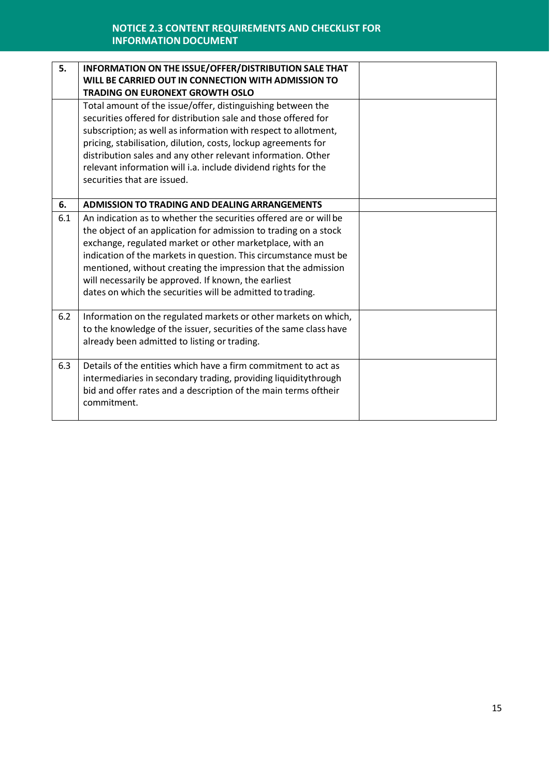| 5.  | <b>INFORMATION ON THE ISSUE/OFFER/DISTRIBUTION SALE THAT</b><br>WILL BE CARRIED OUT IN CONNECTION WITH ADMISSION TO<br><b>TRADING ON EURONEXT GROWTH OSLO</b>                                                                                                                                                                                                                                                                                                |  |
|-----|--------------------------------------------------------------------------------------------------------------------------------------------------------------------------------------------------------------------------------------------------------------------------------------------------------------------------------------------------------------------------------------------------------------------------------------------------------------|--|
|     | Total amount of the issue/offer, distinguishing between the<br>securities offered for distribution sale and those offered for<br>subscription; as well as information with respect to allotment,<br>pricing, stabilisation, dilution, costs, lockup agreements for<br>distribution sales and any other relevant information. Other<br>relevant information will i.a. include dividend rights for the<br>securities that are issued.                          |  |
| 6.  | <b>ADMISSION TO TRADING AND DEALING ARRANGEMENTS</b>                                                                                                                                                                                                                                                                                                                                                                                                         |  |
| 6.1 | An indication as to whether the securities offered are or will be<br>the object of an application for admission to trading on a stock<br>exchange, regulated market or other marketplace, with an<br>indication of the markets in question. This circumstance must be<br>mentioned, without creating the impression that the admission<br>will necessarily be approved. If known, the earliest<br>dates on which the securities will be admitted to trading. |  |
| 6.2 | Information on the regulated markets or other markets on which,<br>to the knowledge of the issuer, securities of the same class have<br>already been admitted to listing or trading.                                                                                                                                                                                                                                                                         |  |
| 6.3 | Details of the entities which have a firm commitment to act as<br>intermediaries in secondary trading, providing liquiditythrough<br>bid and offer rates and a description of the main terms oftheir<br>commitment.                                                                                                                                                                                                                                          |  |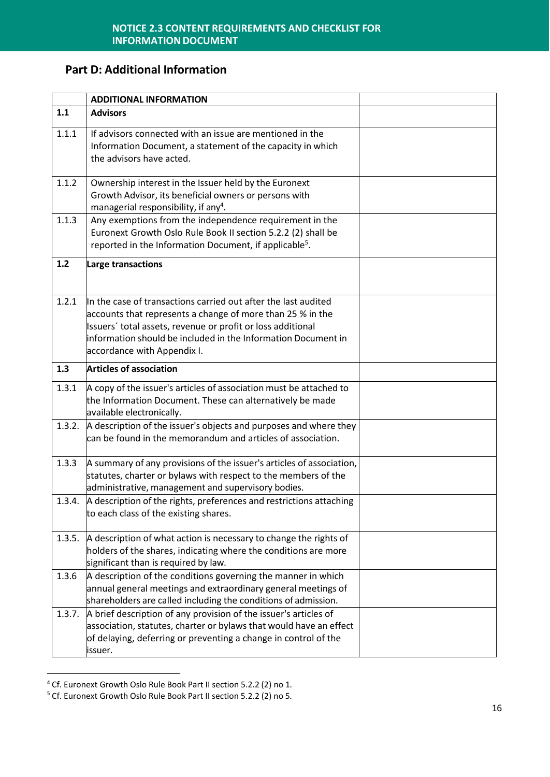## **Part D: Additional Information**

|        | <b>ADDITIONAL INFORMATION</b>                                                                                                                                                                                                                                                               |  |
|--------|---------------------------------------------------------------------------------------------------------------------------------------------------------------------------------------------------------------------------------------------------------------------------------------------|--|
| 1.1    | <b>Advisors</b>                                                                                                                                                                                                                                                                             |  |
| 1.1.1  | If advisors connected with an issue are mentioned in the<br>Information Document, a statement of the capacity in which<br>the advisors have acted.                                                                                                                                          |  |
| 1.1.2  | Ownership interest in the Issuer held by the Euronext<br>Growth Advisor, its beneficial owners or persons with<br>managerial responsibility, if any <sup>4</sup> .                                                                                                                          |  |
| 1.1.3  | Any exemptions from the independence requirement in the<br>Euronext Growth Oslo Rule Book II section 5.2.2 (2) shall be<br>reported in the Information Document, if applicable <sup>5</sup> .                                                                                               |  |
| 1.2    | Large transactions                                                                                                                                                                                                                                                                          |  |
| 1.2.1  | In the case of transactions carried out after the last audited<br>accounts that represents a change of more than 25 % in the<br>Issuers' total assets, revenue or profit or loss additional<br>information should be included in the Information Document in<br>accordance with Appendix I. |  |
| 1.3    | <b>Articles of association</b>                                                                                                                                                                                                                                                              |  |
| 1.3.1  | A copy of the issuer's articles of association must be attached to<br>the Information Document. These can alternatively be made<br>available electronically.                                                                                                                                |  |
| 1.3.2. | A description of the issuer's objects and purposes and where they<br>can be found in the memorandum and articles of association.                                                                                                                                                            |  |
| 1.3.3  | A summary of any provisions of the issuer's articles of association,<br>statutes, charter or bylaws with respect to the members of the<br>administrative, management and supervisory bodies.                                                                                                |  |
| 1.3.4. | A description of the rights, preferences and restrictions attaching<br>to each class of the existing shares.                                                                                                                                                                                |  |
| 1.3.5. | A description of what action is necessary to change the rights of<br>holders of the shares, indicating where the conditions are more<br>significant than is required by law.                                                                                                                |  |
| 1.3.6  | A description of the conditions governing the manner in which<br>annual general meetings and extraordinary general meetings of<br>shareholders are called including the conditions of admission.                                                                                            |  |
| 1.3.7. | A brief description of any provision of the issuer's articles of<br>association, statutes, charter or bylaws that would have an effect<br>of delaying, deferring or preventing a change in control of the<br>issuer.                                                                        |  |

<sup>4</sup> Cf. Euronext Growth Oslo Rule Book Part II section 5.2.2 (2) no 1.

<sup>5</sup> Cf. Euronext Growth Oslo Rule Book Part II section 5.2.2 (2) no 5.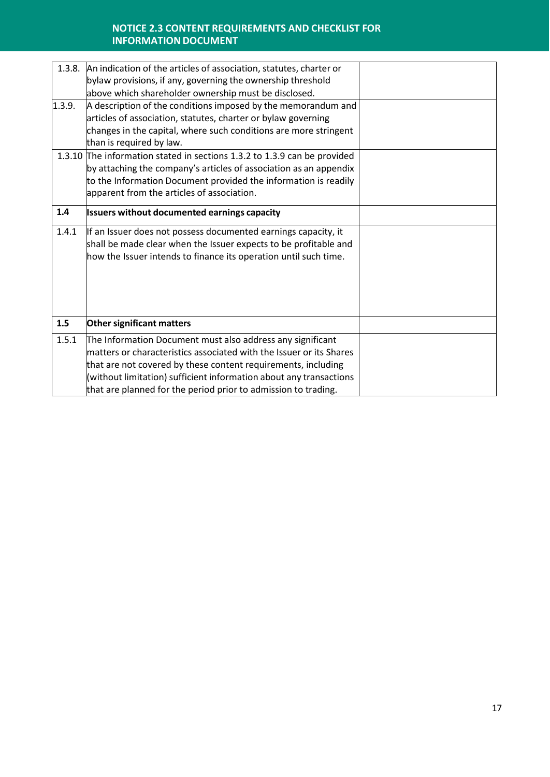|        | 1.3.8. An indication of the articles of association, statutes, charter or |  |
|--------|---------------------------------------------------------------------------|--|
|        | bylaw provisions, if any, governing the ownership threshold               |  |
|        | above which shareholder ownership must be disclosed.                      |  |
| 1.3.9. | A description of the conditions imposed by the memorandum and             |  |
|        | articles of association, statutes, charter or bylaw governing             |  |
|        | changes in the capital, where such conditions are more stringent          |  |
|        | than is required by law.                                                  |  |
|        | 1.3.10 The information stated in sections 1.3.2 to 1.3.9 can be provided  |  |
|        | by attaching the company's articles of association as an appendix         |  |
|        | to the Information Document provided the information is readily           |  |
|        | apparent from the articles of association.                                |  |
| 1.4    | Issuers without documented earnings capacity                              |  |
| 1.4.1  | If an Issuer does not possess documented earnings capacity, it            |  |
|        | shall be made clear when the Issuer expects to be profitable and          |  |
|        | how the Issuer intends to finance its operation until such time.          |  |
|        |                                                                           |  |
|        |                                                                           |  |
|        |                                                                           |  |
|        |                                                                           |  |
| 1.5    | Other significant matters                                                 |  |
| 1.5.1  | The Information Document must also address any significant                |  |
|        | matters or characteristics associated with the Issuer or its Shares       |  |
|        | that are not covered by these content requirements, including             |  |
|        | (without limitation) sufficient information about any transactions        |  |
|        | that are planned for the period prior to admission to trading.            |  |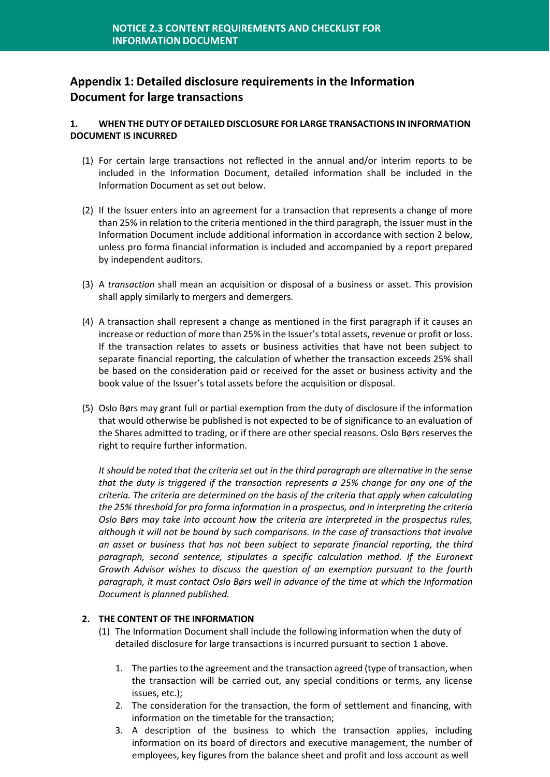## **Appendix 1: Detailed disclosure requirements in the Information Document for large transactions**

#### **1. WHEN THE DUTYOF DETAILED DISCLOSURE FOR LARGE TRANSACTIONS IN INFORMATION DOCUMENT IS INCURRED**

- (1) For certain large transactions not reflected in the annual and/or interim reports to be included in the Information Document, detailed information shall be included in the Information Document as set out below.
- (2) If the Issuer enters into an agreement for a transaction that represents a change of more than 25% in relation to the criteria mentioned in the third paragraph, the Issuer must in the Information Document include additional information in accordance with section 2 below, unless pro forma financial information is included and accompanied by a report prepared by independent auditors.
- (3) A *transaction* shall mean an acquisition or disposal of a business or asset. This provision shall apply similarly to mergers and demergers.
- (4) A transaction shall represent a change as mentioned in the first paragraph if it causes an increase or reduction of more than 25% in the Issuer'stotal assets, revenue or profit or loss. If the transaction relates to assets or business activities that have not been subject to separate financial reporting, the calculation of whether the transaction exceeds 25% shall be based on the consideration paid or received for the asset or business activity and the book value of the Issuer's total assets before the acquisition or disposal.
- (5) Oslo Børs may grant full or partial exemption from the duty of disclosure if the information that would otherwise be published is not expected to be of significance to an evaluation of the Shares admitted to trading, or if there are other special reasons. Oslo Børs reserves the right to require further information.

*It should be noted that the criteria set out in the third paragraph are alternative in the sense that the duty is triggered if the transaction represents a 25% change for any one of the criteria. The criteria are determined on the basis of the criteria that apply when calculating the 25% threshold for pro forma information in a prospectus, and in interpreting the criteria Oslo Børs may take into account how the criteria are interpreted in the prospectus rules, although it will not be bound by such comparisons. In the case of transactions that involve an asset or business that has not been subject to separate financial reporting, the third paragraph, second sentence, stipulates a specific calculation method. If the Euronext Growth Advisor wishes to discuss the question of an exemption pursuant to the fourth paragraph, it must contact Oslo Børs well in advance of the time at which the Information Document is planned published.*

#### **2. THE CONTENT OF THE INFORMATION**

- (1) The Information Document shall include the following information when the duty of detailed disclosure for large transactions is incurred pursuant to section 1 above.
	- 1. The parties to the agreement and the transaction agreed (type of transaction, when the transaction will be carried out, any special conditions or terms, any license issues, etc.);
	- 2. The consideration for the transaction, the form of settlement and financing, with information on the timetable for the transaction;
	- 3. A description of the business to which the transaction applies, including information on its board of directors and executive management, the number of employees, key figures from the balance sheet and profit and loss account as well